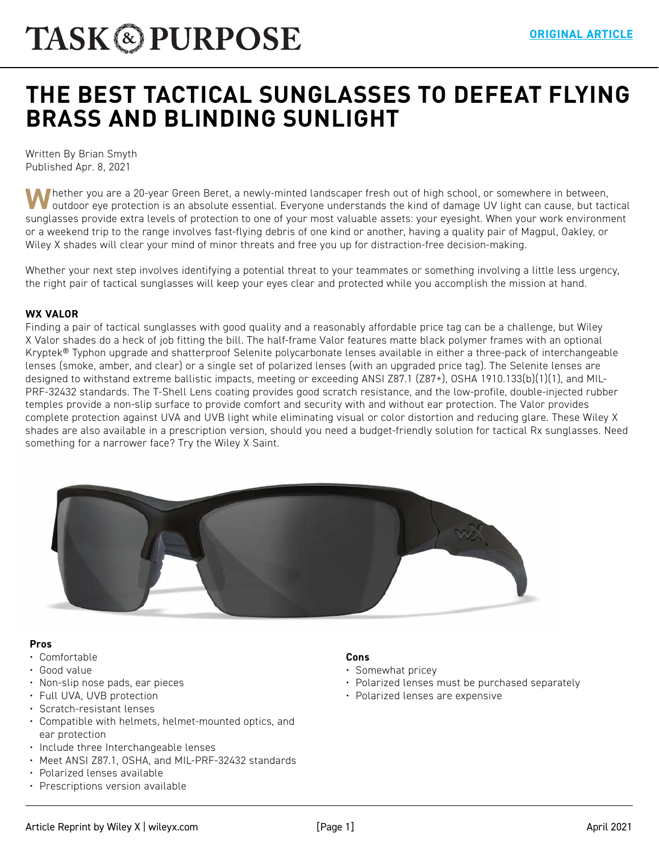# **[THE BEST TACTICAL SUNGLASSES TO DEFEAT FLYING](https://taskandpurpose.com/reviews/best-tactical-sunglasses/)  BRASS AND BLINDING SUNLIGHT**

Written By Brian Smyth Published Apr. 8, 2021

**W**hether you are a 20-year Green Beret, a newly-minted landscaper fresh out of high school, or somewhere in between, outdoor eye protection is an absolute essential. Everyone understands the kind of damage UV light can cause, but tactical sunglasses provide extra levels of protection to one of your most valuable assets: your eyesight. When your work environment or a weekend trip to the range involves fast-flying debris of one kind or another, having a quality pair of Magpul, Oakley, or Wiley X shades will clear your mind of minor threats and free you up for distraction-free decision-making.

Whether your next step involves identifying a potential threat to your teammates or something involving a little less urgency, the right pair of tactical sunglasses will keep your eyes clear and protected while you accomplish the mission at hand.

#### **WX VALOR**

Finding a pair of tactical sunglasses with good quality and a reasonably affordable price tag can be a challenge, but Wiley X Valor shades do a heck of job fitting the bill. The half-frame Valor features matte black polymer frames with an optional Kryptek® Typhon upgrade and shatterproof Selenite polycarbonate lenses available in either a three-pack of interchangeable lenses (smoke, amber, and clear) or a single set of polarized lenses (with an upgraded price tag). The Selenite lenses are designed to withstand extreme ballistic impacts, meeting or exceeding ANSI Z87.1 (Z87+), OSHA 1910.133(b)(1)(1), and MIL-PRF-32432 standards. The T-Shell Lens coating provides good scratch resistance, and the low-profile, double-injected rubber temples provide a non-slip surface to provide comfort and security with and without ear protection. The Valor provides complete protection against UVA and UVB light while eliminating visual or color distortion and reducing glare. These Wiley X shades are also available in a prescription version, should you need a budget-friendly solution for tactical Rx sunglasses. Need something for a narrower face? Try the Wiley X Saint.



#### **Pros**

- Comfortable
- Good value
- Non-slip nose pads, ear pieces
- Full UVA, UVB protection
- Scratch-resistant lenses
- Compatible with helmets, helmet-mounted optics, and ear protection
- Include three Interchangeable lenses
- Meet ANSI Z87.1, OSHA, and MIL-PRF-32432 standards
- Polarized lenses available
- Prescriptions version available

#### **Cons**

- Somewhat pricey
- Polarized lenses must be purchased separately
- Polarized lenses are expensive